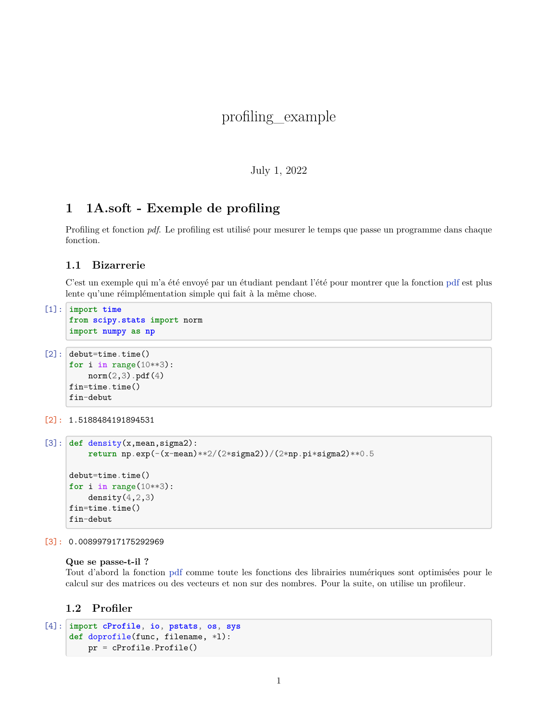# profiling\_example

#### July 1, 2022

## **1 1A.soft - Exemple de profiling**

Profiling et fonction *pdf*. Le profiling est utilisé pour mesurer le temps que passe un programme dans chaque fonction.

#### **1.1 Bizarrerie**

C'est un exemple qui m'a été envoyé par un étudiant pendant l'été pour montrer que la fonction [pdf](http://docs.scipy.org/doc/scipy-0.16.0/reference/generated/scipy.stats.norm.html) est plus lente qu'une réimplémentation simple qui fait à la même chose.

```
[1]: import time
     from scipy.stats import norm
     import numpy as np
```

```
[2]: debut=time.time()
```

```
for i in range(10**3):
    norm(2,3).pdf(4)
fin=time.time()
fin-debut
```

```
[2]: 1.5188484191894531
```

```
[3]: def density(x,mean,sigma2):
         return np.exp(-(x-mean)**2/(2*sigma2))/(2*np.pi*sigma2)**0.5
     debut=time.time()
     for i in range(10**3):
         density(4, 2, 3)fin=time.time()
     fin-debut
```
[3]: 0.008997917175292969

#### **Que se passe-t-il ?**

Tout d'abord la fonction [pdf](http://docs.scipy.org/doc/scipy-0.16.0/reference/generated/scipy.stats.norm.html) comme toute les fonctions des librairies numériques sont optimisées pour le calcul sur des matrices ou des vecteurs et non sur des nombres. Pour la suite, on utilise un profileur.

### **1.2 Profiler**

```
[4]: import cProfile, io, pstats, os, sys
     def doprofile(func, filename, *l):
         pr = cProfile.Profile()
```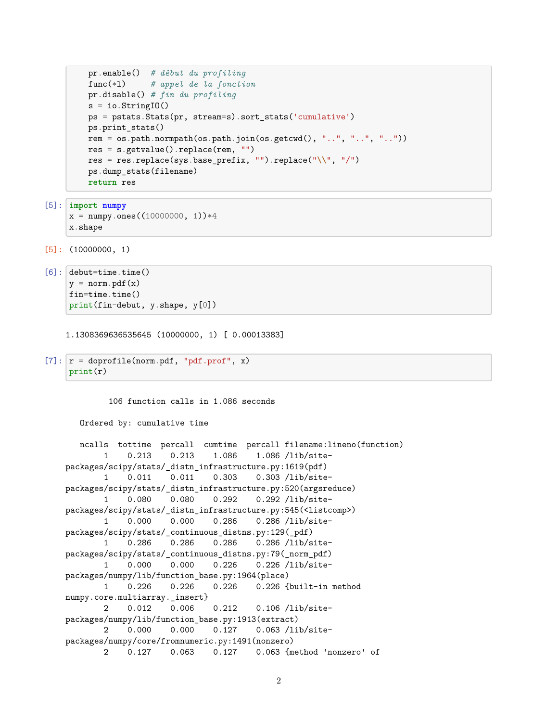```
pr.enable() # début du profiling
func(*l) # appel de la fonction
pr.disable() # fin du profiling
s = io簡StringI0()ps = pstats.Stats(pr, stream=s).sort_stats('cumulative')
ps.print_stats()
rem = os.path.normpath(os.path.join(os.getcwd(), "..", "..", ".."))
res = s.getvalue().replace(rem, "")
res = res.replace(sys.base_prefix, "").replace("\\", "/")
ps.dump_stats(filename)
return res
```

```
[5]: import numpy
      x = \text{numpy}.\text{ones}((10000000, 1))*4x.shape
```
 $[5]$ : (10000000, 1)

```
[6]: debut=time.time()
     y = norm.pdf(x)fin=time.time()
    print(fin-debut, y.shape, y[0])
```
1.1308369636535645 (10000000, 1) [ 0.00013383]

```
[7]: r = doprofile(norm.pdf, "pdf.prof", x)
     print(r)
```
106 function calls in 1.086 seconds

```
Ordered by: cumulative time
```

```
ncalls tottime percall cumtime percall filename:lineno(function)
       1 0.213 0.213 1.086 1.086 /lib/site-
packages/scipy/stats/_distn_infrastructure.py:1619(pdf)
       1 0.011 0.011 0.303 0.303 /lib/site-
packages/scipy/stats/_distn_infrastructure.py:520(argsreduce)
       1 0.080 0.080 0.292 0.292 /lib/site-
packages/scipy/stats/_distn_infrastructure.py:545(<listcomp>)
       1 0.000 0.000 0.286 0.286 /lib/site-
packages/scipy/stats/_continuous_distns.py:129(_pdf)
       1 0.286 0.286 0.286 0.286 /lib/site-
packages/scipy/stats/_continuous_distns.py:79(_norm_pdf)
       1 0.000 0.000 0.226 0.226 /lib/site-
packages/numpy/lib/function_base.py:1964(place)
       1 0.226 0.226 0.226 0.226 {built-in method
numpy.core.multiarray._insert}
       2 0.012 0.006 0.212 0.106 /lib/site-
packages/numpy/lib/function_base.py:1913(extract)
       2 0.000 0.000 0.127 0.063 /lib/site-
packages/numpy/core/fromnumeric.py:1491(nonzero)
       2 0.127 0.063 0.127 0.063 {method 'nonzero' of
```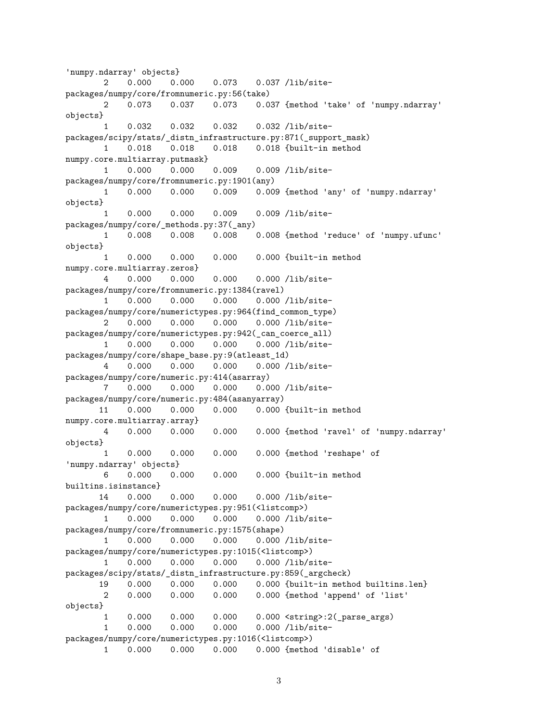```
'numpy.ndarray' objects}
       2 0.000 0.000 0.073 0.037 /lib/site-
packages/numpy/core/fromnumeric.py:56(take)
       2 0.073 0.037 0.073 0.037 {method 'take' of 'numpy.ndarray'
objects}
       1 0.032 0.032 0.032 0.032 /lib/site-
packages/scipy/stats/_distn_infrastructure.py:871(_support_mask)
       1 0.018 0.018 0.018 0.018 {built-in method
numpy.core.multiarray.putmask}
       1 0.000 0.000 0.009 0.009 /lib/site-
packages/numpy/core/fromnumeric.py:1901(any)
       1 0.000 0.000 0.009 0.009 {method 'any' of 'numpy.ndarray'
objects}
       1 0.000 0.000 0.009 0.009 /lib/site-
packages/numpy/core/_methods.py:37(_any)
       1 0.008 0.008 0.008 0.008 {method 'reduce' of 'numpy.ufunc'
objects}
       1 0.000 0.000 0.000 0.000 {built-in method
numpy.core.multiarray.zeros}
       4 0.000 0.000 0.000 0.000 /lib/site-
packages/numpy/core/fromnumeric.py:1384(ravel)
       1 0.000 0.000 0.000 0.000 /lib/site-
packages/numpy/core/numerictypes.py:964(find_common_type)
       2 0.000 0.000 0.000 0.000 /lib/site-
packages/numpy/core/numerictypes.py:942(_can_coerce_all)
       1 0.000 0.000 0.000 0.000 /lib/site-
packages/numpy/core/shape_base.py:9(atleast_1d)
       4 0.000 0.000 0.000 0.000 /lib/site-
packages/numpy/core/numeric.py:414(asarray)
      7 0.000 0.000 0.000 0.000 /lib/site-
packages/numpy/core/numeric.py:484(asanyarray)
      11 0.000 0.000 0.000 0.000 {built-in method
numpy.core.multiarray.array}
       4 0.000 0.000 0.000 0.000 {method 'ravel' of 'numpy.ndarray'
objects}
       1 0.000 0.000 0.000 0.000 {method 'reshape' of
'numpy.ndarray' objects}
      6 0.000 0.000 0.000 0.000 {built-in method
builtins.isinstance}
      14 0.000 0.000 0.000 0.000 /lib/site-
packages/numpy/core/numerictypes.py:951(<listcomp>)
       1 0.000 0.000 0.000 0.000 /lib/site-
packages/numpy/core/fromnumeric.py:1575(shape)
       1 0.000 0.000 0.000 0.000 /lib/site-
packages/numpy/core/numerictypes.py:1015(<listcomp>)
       1 0.000 0.000 0.000 0.000 /lib/site-
packages/scipy/stats/_distn_infrastructure.py:859(_argcheck)
      19 0.000 0.000 0.000 0.000 {built-in method builtins.len}
      2 0.000 0.000 0.000 0.000 {method 'append' of 'list'
objects}
       1 0.000 0.000 0.000 0.000 <string>:2(_parse_args)
       1 0.000 0.000 0.000 0.000 /lib/site-
packages/numpy/core/numerictypes.py:1016(<listcomp>)
       1 0.000 0.000 0.000 0.000 {method 'disable' of
```